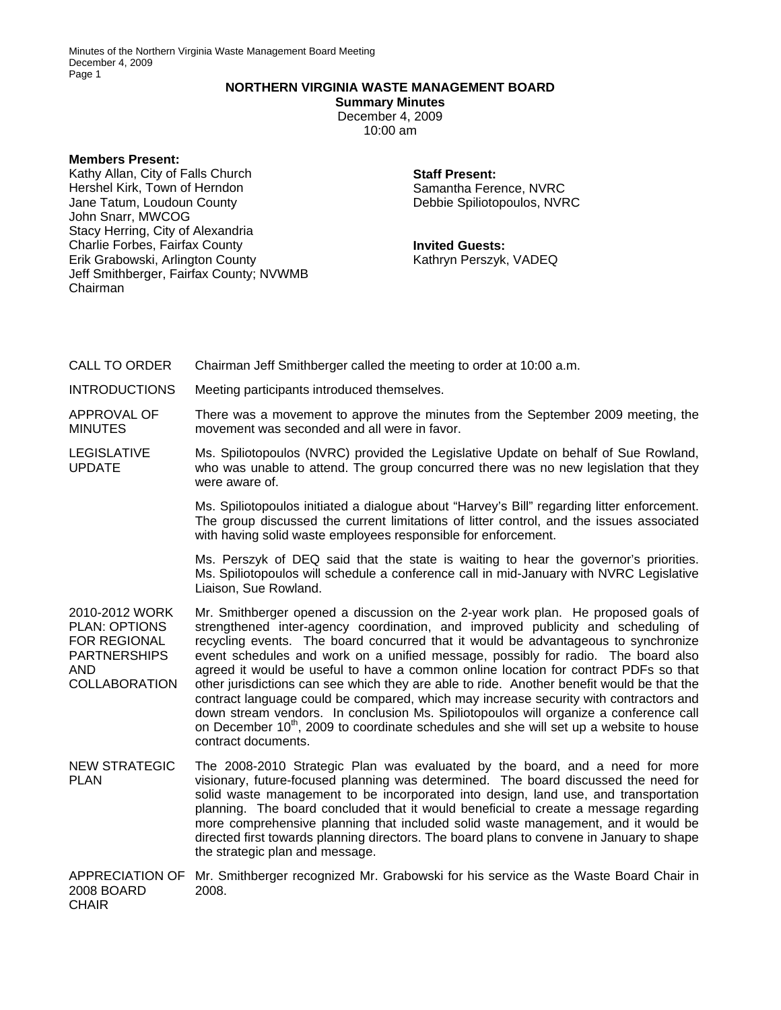## **NORTHERN VIRGINIA WASTE MANAGEMENT BOARD**

**Summary Minutes**  December 4, 2009 10:00 am

**Members Present:** 

Kathy Allan, City of Falls Church Hershel Kirk, Town of Herndon Jane Tatum, Loudoun County John Snarr, MWCOG Stacy Herring, City of Alexandria Charlie Forbes, Fairfax County Erik Grabowski, Arlington County Jeff Smithberger, Fairfax County; NVWMB Chairman

## **Staff Present:**

Samantha Ference, NVRC Debbie Spiliotopoulos, NVRC

**Invited Guests:**  Kathryn Perszyk, VADEQ

CALL TO ORDER Chairman Jeff Smithberger called the meeting to order at 10:00 a.m.

INTRODUCTIONS Meeting participants introduced themselves.

APPROVAL OF MINUTES There was a movement to approve the minutes from the September 2009 meeting, the movement was seconded and all were in favor.

LEGISLATIVE UPDATE Ms. Spiliotopoulos (NVRC) provided the Legislative Update on behalf of Sue Rowland, who was unable to attend. The group concurred there was no new legislation that they were aware of.

> Ms. Spiliotopoulos initiated a dialogue about "Harvey's Bill" regarding litter enforcement. The group discussed the current limitations of litter control, and the issues associated with having solid waste employees responsible for enforcement.

> Ms. Perszyk of DEQ said that the state is waiting to hear the governor's priorities. Ms. Spiliotopoulos will schedule a conference call in mid-January with NVRC Legislative Liaison, Sue Rowland.

2010-2012 WORK PLAN: OPTIONS FOR REGIONAL **PARTNERSHIPS** AND COLLABORATION Mr. Smithberger opened a discussion on the 2-year work plan. He proposed goals of strengthened inter-agency coordination, and improved publicity and scheduling of recycling events. The board concurred that it would be advantageous to synchronize event schedules and work on a unified message, possibly for radio. The board also agreed it would be useful to have a common online location for contract PDFs so that other jurisdictions can see which they are able to ride. Another benefit would be that the contract language could be compared, which may increase security with contractors and down stream vendors. In conclusion Ms. Spiliotopoulos will organize a conference call on December 10<sup>th</sup>, 2009 to coordinate schedules and she will set up a website to house contract documents.

NEW STRATEGIC PLAN The 2008-2010 Strategic Plan was evaluated by the board, and a need for more visionary, future-focused planning was determined. The board discussed the need for solid waste management to be incorporated into design, land use, and transportation planning. The board concluded that it would beneficial to create a message regarding more comprehensive planning that included solid waste management, and it would be directed first towards planning directors. The board plans to convene in January to shape the strategic plan and message.

APPRECIATION OF Mr. Smithberger recognized Mr. Grabowski for his service as the Waste Board Chair in 2008 BOARD **CHAIR** 2008.